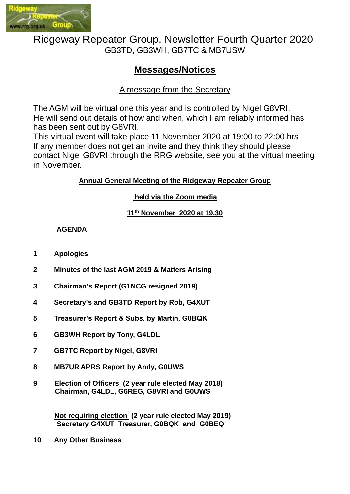

# Ridgeway Repeater Group. Newsletter Fourth Quarter 2020 GB3TD, GB3WH, GB7TC & MB7USW

# **Messages/Notices**

## A message from the Secretary

The AGM will be virtual one this year and is controlled by Nigel G8VRI. He will send out details of how and when, which I am reliably informed has has been sent out by G8VRI.

This virtual event will take place 11 November 2020 at 19:00 to 22:00 hrs If any member does not get an invite and they think they should please contact Nigel G8VRI through the RRG website, see you at the virtual meeting in November.

#### **Annual General Meeting of the Ridgeway Repeater Group**

### **held via the Zoom media**

#### **11th November 2020 at 19.30**

#### **AGENDA**

- **1 Apologies**
- **2 Minutes of the last AGM 2019 & Matters Arising**
- **3 Chairman's Report (G1NCG resigned 2019)**
- **4 Secretary's and GB3TD Report by Rob, G4XUT**
- **5 Treasurer's Report & Subs. by Martin, G0BQK**
- **6 GB3WH Report by Tony, G4LDL**
- **7 GB7TC Report by Nigel, G8VRI**
- **8 MB7UR APRS Report by Andy, G0UWS**
- **9 Election of Officers (2 year rule elected May 2018) Chairman, G4LDL, G6REG, G8VRI and G0UWS**

**Not requiring election (2 year rule elected May 2019) Secretary G4XUT Treasurer, G0BQK and G0BEQ**

**10 Any Other Business**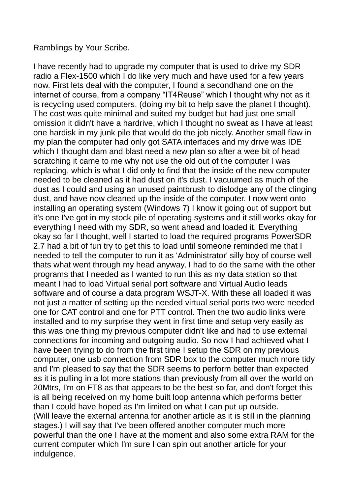### Ramblings by Your Scribe.

I have recently had to upgrade my computer that is used to drive my SDR radio a Flex-1500 which I do like very much and have used for a few years now. First lets deal with the computer, I found a secondhand one on the internet of course, from a company "IT4Reuse" which I thought why not as it is recycling used computers. (doing my bit to help save the planet I thought). The cost was quite minimal and suited my budget but had just one small omission it didn't have a hardrive, which I thought no sweat as I have at least one hardisk in my junk pile that would do the job nicely. Another small flaw in my plan the computer had only got SATA interfaces and my drive was IDE which I thought dam and blast need a new plan so after a wee bit of head scratching it came to me why not use the old out of the computer I was replacing, which is what I did only to find that the inside of the new computer needed to be cleaned as it had dust on it's dust. I vacuumed as much of the dust as I could and using an unused paintbrush to dislodge any of the clinging dust, and have now cleaned up the inside of the computer. I now went onto installing an operating system (Windows 7) I know it going out of support but it's one I've got in my stock pile of operating systems and it still works okay for everything I need with my SDR, so went ahead and loaded it. Everything okay so far I thought, well I started to load the required programs PowerSDR 2.7 had a bit of fun try to get this to load until someone reminded me that I needed to tell the computer to run it as 'Administrator' silly boy of course well thats what went through my head anyway, I had to do the same with the other programs that I needed as I wanted to run this as my data station so that meant I had to load Virtual serial port software and Virtual Audio leads software and of course a data program WSJT-X. With these all loaded it was not just a matter of setting up the needed virtual serial ports two were needed one for CAT control and one for PTT control. Then the two audio links were installed and to my surprise they went in first time and setup very easily as this was one thing my previous computer didn't like and had to use external connections for incoming and outgoing audio. So now I had achieved what I have been trying to do from the first time I setup the SDR on my previous computer, one usb connection from SDR box to the computer much more tidy and I'm pleased to say that the SDR seems to perform better than expected as it is pulling in a lot more stations than previously from all over the world on 20Mtrs, I'm on FT8 as that appears to be the best so far, and don't forget this is all being received on my home built loop antenna which performs better than I could have hoped as I'm limited on what I can put up outside. (Will leave the external antenna for another article as it is still in the planning stages.) I will say that I've been offered another computer much more powerful than the one I have at the moment and also some extra RAM for the current computer which I'm sure I can spin out another article for your indulgence.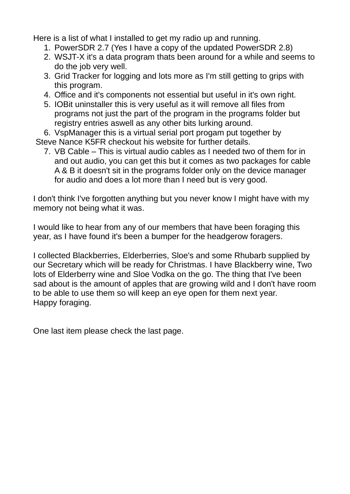Here is a list of what I installed to get my radio up and running.

- 1. PowerSDR 2.7 (Yes I have a copy of the updated PowerSDR 2.8)
- 2. WSJT-X it's a data program thats been around for a while and seems to do the job very well.
- 3. Grid Tracker for logging and lots more as I'm still getting to grips with this program.
- 4. Office and it's components not essential but useful in it's own right.
- 5. IOBit uninstaller this is very useful as it will remove all files from programs not just the part of the program in the programs folder but registry entries aswell as any other bits lurking around.

6. VspManager this is a virtual serial port progam put together by Steve Nance K5FR checkout his website for further details.

7. VB Cable – This is virtual audio cables as I needed two of them for in and out audio, you can get this but it comes as two packages for cable A & B it doesn't sit in the programs folder only on the device manager for audio and does a lot more than I need but is very good.

I don't think I've forgotten anything but you never know I might have with my memory not being what it was.

I would like to hear from any of our members that have been foraging this year, as I have found it's been a bumper for the headgerow foragers.

I collected Blackberries, Elderberries, Sloe's and some Rhubarb supplied by our Secretary which will be ready for Christmas. I have Blackberry wine, Two lots of Elderberry wine and Sloe Vodka on the go. The thing that I've been sad about is the amount of apples that are growing wild and I don't have room to be able to use them so will keep an eye open for them next year. Happy foraging.

One last item please check the last page.